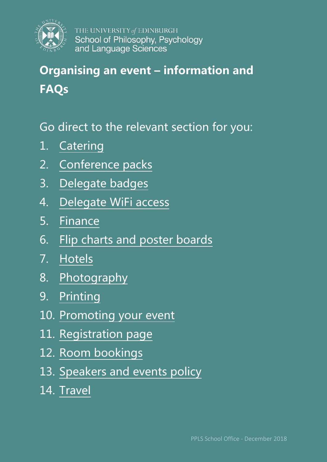

# **Organising an event – information and FAQs**

## Go direct to the relevant section for you:

- 1. [Catering](#page-1-0)
- 2. [Conference packs](#page-2-0)
- 3. [Delegate badges](#page-2-1)
- 4. [Delegate WiFi access](#page-2-2)
- 5. [Finance](#page-2-3)
- 6. [Flip charts and poster boards](#page-3-0)
- 7. [Hotels](#page-3-1)
- 8. [Photography](#page-4-0)
- 9. [Printing](#page-4-1)
- 10. [Promoting your event](#page-4-2)
- 11. [Registration page](#page-5-0)
- 12. [Room bookings](#page-5-1)
- 13. [Speakers and events policy](#page-6-0)
- 14. [Travel](#page-6-1)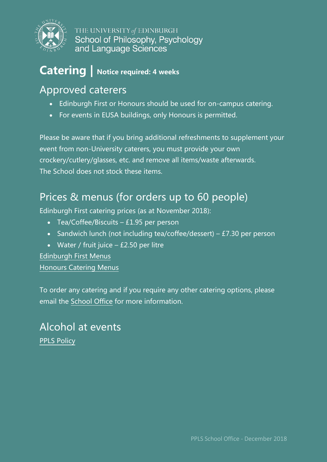

## <span id="page-1-0"></span>**Catering | Notice required: 4 weeks**

### Approved caterers

- Edinburgh First or Honours should be used for on-campus catering.
- For events in EUSA buildings, only Honours is permitted.

Please be aware that if you bring additional refreshments to supplement your event from non-University caterers, you must provide your own crockery/cutlery/glasses, etc. and remove all items/waste afterwards. The School does not stock these items.

### Prices & menus (for orders up to 60 people)

Edinburgh First catering prices (as at November 2018):

- Tea/Coffee/Biscuits £1.95 per person
- Sandwich lunch (not including tea/coffee/dessert) £7.30 per person
- Water / fruit juice  $-$  £2.50 per litre

[Edinburgh First Menus](https://www.edinburghfirst.co.uk/media/72062/Delivered-Catering-Menus-Areas.pdf)  [Honours Catering Menus](https://www.eusa.ed.ac.uk/honoursevents/catering/)

To order any catering and if you require any other catering options, please email the [School Office](mailto:ppls.schooloffice@ed.ac.uk) for more information.

#### Alcohol at events [PPLS Policy](https://uoe-my.sharepoint.com/:b:/g/personal/pplsge02_ed_ac_uk/EUmahQCNq8tEiqOVfCoLdrYBLf21uXjclQebP_953NSl5g)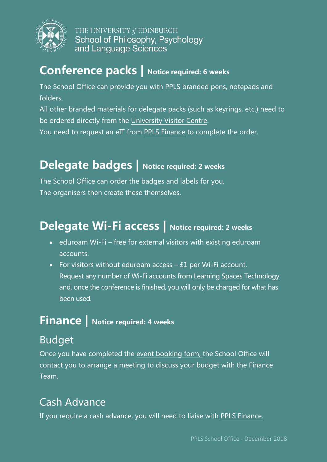

### <span id="page-2-0"></span>**Conference packs | Notice required: 6 weeks**

The School Office can provide you with PPLS branded pens, notepads and folders.

All other branded materials for delegate packs (such as keyrings, etc.) need to be ordered directly from the [University Visitor Centre.](https://www.ed.ac.uk/communications-marketing/visitor-centre/visitor-centre-team)

You need to request an eIT from [PPLS Finance](mailto:ppls.finance@ed.ac.uk) to complete the order.

## <span id="page-2-1"></span>**Delegate badges | Notice required: 2 weeks**

The School Office can order the badges and labels for you. The organisers then create these themselves.

## <span id="page-2-2"></span>**Delegate Wi-Fi access | Notice required: 2 weeks**

- eduroam Wi-Fi free for external visitors with existing eduroam accounts.
- For visitors without eduroam access  $f1$  per Wi-Fi account. Request any number of Wi-Fi accounts from [Learning Spaces Technology](mailto:learningspacestechnology@ed.ac.uk) and, once the conference is finished, you will only be charged for what has been used.

## <span id="page-2-3"></span>**Finance | Notice required: 4 weeks**

## Budget

Once you have completed the [event booking form,](http://ask.ppls.ed.ac.uk/so/ppls-event-booking/) the School Office will contact you to arrange a meeting to discuss your budget with the Finance Team.

## Cash Advance

If you require a cash advance, you will need to liaise with [PPLS Finance.](mailto:ppls.finance@ed.ac.uk)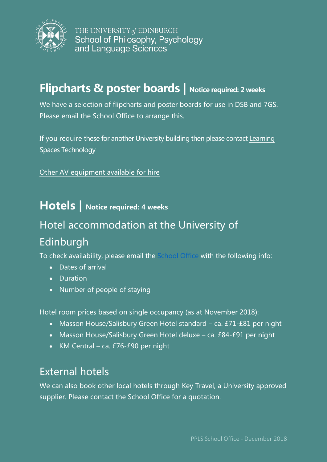

### <span id="page-3-0"></span>**Flipcharts & poster boards | Notice required: 2 weeks**

We have a selection of flipcharts and poster boards for use in DSB and 7GS. Please email the [School Office](mailto:ppls.schooloffice@ed.ac.uk) to arrange this.

If you require these for another University building then please contact [Learning](mailto:learningspacestechnology@ed.ac.uk)  [Spaces Technology](mailto:learningspacestechnology@ed.ac.uk)

Other [AV equipment available for hire](https://www.ed.ac.uk/information-services/computing/audio-visual-multi-media/audio-visual-loans/loan-equipment-list)

#### <span id="page-3-1"></span>**Hotels | Notice required: 4 weeks**

### Hotel accommodation at the University of

#### Edinburgh

To check availability, please email the [School Office](mailto:ppls.schooloffice@ed.ac.uk) with the following info:

- Dates of arrival
- Duration
- Number of people of staying

Hotel room prices based on single occupancy (as at November 2018):

- Masson House/Salisbury Green Hotel standard ca. £71-£81 per night
- Masson House/Salisbury Green Hotel deluxe ca. £84-£91 per night
- KM Central ca. £76-£90 per night

#### External hotels

We can also book other local hotels through Key Travel, a University approved supplier. Please contact the [School Office](mailto:ppls.schooloffice@ed.ac.uk) for a quotation.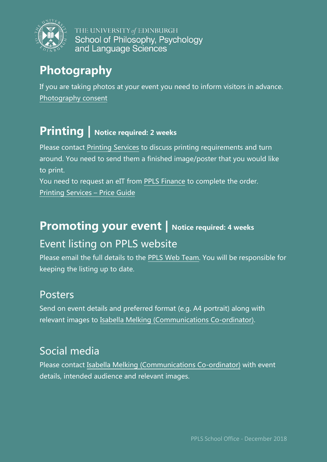

## <span id="page-4-0"></span>**Photography**

If you are taking photos at your event you need to inform visitors in advance. [Photography consent](https://www.ed.ac.uk/communications-marketing/resources/photography)

## <span id="page-4-1"></span>**Printing | Notice required: 2 weeks**

Please contact [Printing Services](mailto:printing.services@ed.ac.uk) to discuss printing requirements and turn around. You need to send them a finished image/poster that you would like to print.

You need to request an eIT from [PPLS Finance](mailto:ppls.finance@ed.ac.uk) to complete the order. [Printing Services – Price Guide](https://www.ed.ac.uk/files/atoms/files/department_price_guide_2018.pdf)

## <span id="page-4-2"></span>**Promoting your event | Notice required: 4 weeks** Event listing on PPLS website

Please email the full details to the [PPLS Web Team.](mailto:ppls.web@ed.ac.uk) You will be responsible for keeping the listing up to date.

#### Posters

Send on event details and preferred format (e.g. A4 portrait) along with relevant images to [Isabella Melking \(Communications Co-ordinator\).](mailto:melking.isabella@ed.ac.uk)

### Social media

Please contact [Isabella Melking \(Communications Co-ordinator\)](mailto:melking.isabella@ed.ac.uk) with event details, intended audience and relevant images.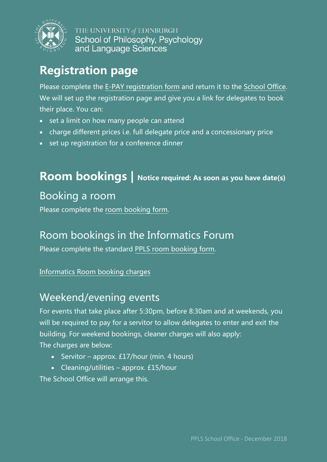

## <span id="page-5-0"></span>**Registration page**

Please complete the [E-PAY registration form](https://uoe-my.sharepoint.com/:w:/g/personal/pplsge02_ed_ac_uk/EcOkefi-yX5NgLwQfj4WiKEBn3ccbNjUz3SN6nJn5heGyA?e=94Tu2T) and return it to the [School Office.](mailto:ppls.schooloffice@ed.ac.uk) We will set up the registration page and give you a link for delegates to book their place. You can:

- set a limit on how many people can attend
- charge different prices i.e. full delegate price and a concessionary price
- set up registration for a conference dinner

### <span id="page-5-1"></span>**Room bookings | Notice required: As soon as you have date(s)**

#### Booking a room

Please complete the [room booking form.](http://ask.ppls.ed.ac.uk/so/ppls-event-booking/)

#### Room bookings in the Informatics Forum

Please complete the standard [PPLS room booking form.](http://ask.ppls.ed.ac.uk/so/ppls-event-booking/)

#### [Informatics Room booking charges](http://web.inf.ed.ac.uk/infweb/admin/policies/room-hire-charges-forum)

#### Weekend/evening events

For events that take place after 5:30pm, before 8:30am and at weekends, you will be required to pay for a servitor to allow delegates to enter and exit the building. For weekend bookings, cleaner charges will also apply: The charges are below:

- Servitor approx. £17/hour (min. 4 hours)
- Cleaning/utilities approx. £15/hour

The School Office will arrange this.